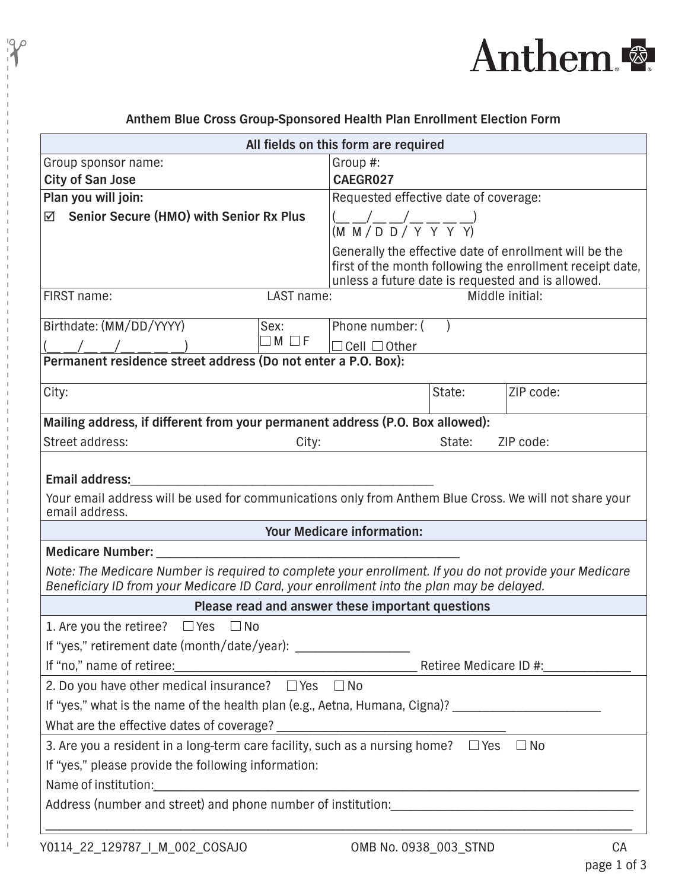

| All fields on this form are required                                                                                                                                                               |                                                                                                      |        |                                                                                                                     |  |
|----------------------------------------------------------------------------------------------------------------------------------------------------------------------------------------------------|------------------------------------------------------------------------------------------------------|--------|---------------------------------------------------------------------------------------------------------------------|--|
| Group sponsor name:                                                                                                                                                                                | Group #:                                                                                             |        |                                                                                                                     |  |
| <b>City of San Jose</b>                                                                                                                                                                            | CAEGR027                                                                                             |        |                                                                                                                     |  |
| Plan you will join:                                                                                                                                                                                | Requested effective date of coverage:                                                                |        |                                                                                                                     |  |
| ☑ Senior Secure (HMO) with Senior Rx Plus                                                                                                                                                          | $\frac{(-1)^{n} \sqrt{1-(1-x)^{n}}}{(M-M/D}$ $\frac{1}{Y}$ $\frac{1}{Y}$ $\frac{1}{Y}$ $\frac{1}{Y}$ |        |                                                                                                                     |  |
|                                                                                                                                                                                                    | unless a future date is requested and is allowed.                                                    |        | Generally the effective date of enrollment will be the<br>first of the month following the enrollment receipt date, |  |
| FIRST name:<br>LAST name:<br>Middle initial:                                                                                                                                                       |                                                                                                      |        |                                                                                                                     |  |
| Birthdate: (MM/DD/YYYY)<br>Sex:                                                                                                                                                                    | Phone number: (                                                                                      |        |                                                                                                                     |  |
| $\Box$ M $\Box$ F                                                                                                                                                                                  | $\Box$ Cell $\Box$ Other                                                                             |        |                                                                                                                     |  |
| Permanent residence street address (Do not enter a P.O. Box):                                                                                                                                      |                                                                                                      |        |                                                                                                                     |  |
| City:                                                                                                                                                                                              |                                                                                                      | State: | ZIP code:                                                                                                           |  |
| Mailing address, if different from your permanent address (P.O. Box allowed):                                                                                                                      |                                                                                                      |        |                                                                                                                     |  |
| Street address:<br>City:                                                                                                                                                                           |                                                                                                      | State: | ZIP code:                                                                                                           |  |
| <b>Email address:</b><br>Your email address will be used for communications only from Anthem Blue Cross. We will not share your<br>email address.                                                  |                                                                                                      |        |                                                                                                                     |  |
| Your Medicare information:                                                                                                                                                                         |                                                                                                      |        |                                                                                                                     |  |
| <b>Medicare Number:</b>                                                                                                                                                                            |                                                                                                      |        |                                                                                                                     |  |
| Note: The Medicare Number is required to complete your enrollment. If you do not provide your Medicare<br>Beneficiary ID from your Medicare ID Card, your enrollment into the plan may be delayed. |                                                                                                      |        |                                                                                                                     |  |
| Please read and answer these important questions                                                                                                                                                   |                                                                                                      |        |                                                                                                                     |  |
| 1. Are you the retiree?<br>$\Box$ Yes<br>$\square$ No                                                                                                                                              |                                                                                                      |        |                                                                                                                     |  |
| If "yes," retirement date (month/date/year): ___________________________________                                                                                                                   |                                                                                                      |        |                                                                                                                     |  |
| If "no," name of retiree:<br><u> Letiree Medicare ID #:</u>                                                                                                                                        |                                                                                                      |        |                                                                                                                     |  |
| 2. Do you have other medical insurance? $\Box$ Yes $\Box$ No                                                                                                                                       |                                                                                                      |        |                                                                                                                     |  |
| If "yes," what is the name of the health plan (e.g., Aetna, Humana, Cigna)? _________________________________                                                                                      |                                                                                                      |        |                                                                                                                     |  |
|                                                                                                                                                                                                    |                                                                                                      |        |                                                                                                                     |  |
| 3. Are you a resident in a long-term care facility, such as a nursing home? $\Box$ Yes $\Box$ No                                                                                                   |                                                                                                      |        |                                                                                                                     |  |
| If "yes," please provide the following information:                                                                                                                                                |                                                                                                      |        |                                                                                                                     |  |
|                                                                                                                                                                                                    |                                                                                                      |        |                                                                                                                     |  |
|                                                                                                                                                                                                    |                                                                                                      |        |                                                                                                                     |  |
|                                                                                                                                                                                                    |                                                                                                      |        |                                                                                                                     |  |
|                                                                                                                                                                                                    |                                                                                                      |        |                                                                                                                     |  |

## **Anthem Blue Cross Group-Sponsored Health Plan Enrollment Election Form**

 $\,$   $\,$ 

 $\frac{10}{10}$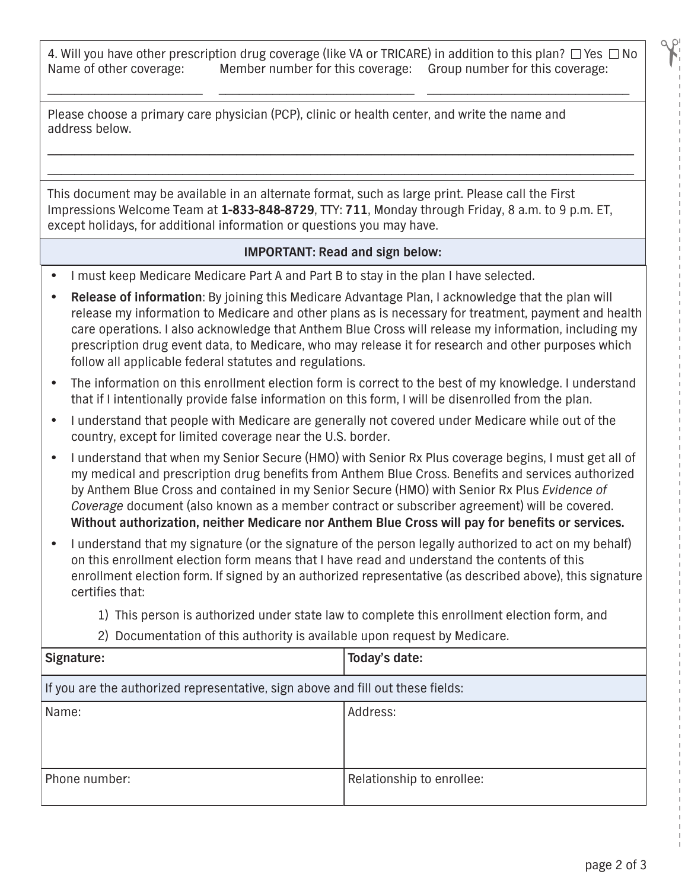4. Will you have other prescription drug coverage (like VA or TRICARE) in addition to this plan?  $\Box$  Yes  $\Box$  No Name of other coverage: Member number for this coverage  $\Box$  No Member number for this coverage: Group number for this coverage:

\_\_\_\_\_\_\_\_\_\_\_\_\_\_\_\_\_\_\_\_\_\_\_ \_\_\_\_\_\_\_\_\_\_\_\_\_\_\_\_\_\_\_\_\_\_\_\_\_\_\_\_\_ \_\_\_\_\_\_\_\_\_\_\_\_\_\_\_\_\_\_\_\_\_\_\_\_\_\_\_\_\_\_

\_\_\_\_\_\_\_\_\_\_\_\_\_\_\_\_\_\_\_\_\_\_\_\_\_\_\_\_\_\_\_\_\_\_\_\_\_\_\_\_\_\_\_\_\_\_\_\_\_\_\_\_\_\_\_\_\_\_\_\_\_\_\_\_\_\_\_\_\_\_\_\_\_\_\_\_\_\_\_\_\_\_\_\_\_\_\_ \_\_\_\_\_\_\_\_\_\_\_\_\_\_\_\_\_\_\_\_\_\_\_\_\_\_\_\_\_\_\_\_\_\_\_\_\_\_\_\_\_\_\_\_\_\_\_\_\_\_\_\_\_\_\_\_\_\_\_\_\_\_\_\_\_\_\_\_\_\_\_\_\_\_\_\_\_\_\_\_\_\_\_\_\_\_\_

Please choose a primary care physician (PCP), clinic or health center, and write the name and address below.

This document may be available in an alternate format, such as large print. Please call the First Impressions Welcome Team at **1-833-848-8729**, TTY: **711**, Monday through Friday, 8 a.m. to 9 p.m. ET, except holidays, for additional information or questions you may have.

## **IMPORTANT: Read and sign below:**

- I must keep Medicare Medicare Part A and Part B to stay in the plan I have selected.
- **Release of information**: By joining this Medicare Advantage Plan, I acknowledge that the plan will release my information to Medicare and other plans as is necessary for treatment, payment and health care operations. I also acknowledge that Anthem Blue Cross will release my information, including my prescription drug event data, to Medicare, who may release it for research and other purposes which follow all applicable federal statutes and regulations.
- The information on this enrollment election form is correct to the best of my knowledge. I understand that if I intentionally provide false information on this form, I will be disenrolled from the plan.
- I understand that people with Medicare are generally not covered under Medicare while out of the country, except for limited coverage near the U.S. border.
- I understand that when my Senior Secure (HMO) with Senior Rx Plus coverage begins, I must get all of my medical and prescription drug benefits from Anthem Blue Cross. Benefits and services authorized by Anthem Blue Cross and contained in my Senior Secure (HMO) with Senior Rx Plus *Evidence of Coverage* document (also known as a member contract or subscriber agreement) will be covered. **Without authorization, neither Medicare nor Anthem Blue Cross will pay for benefits or services.**
- I understand that my signature (or the signature of the person legally authorized to act on my behalf) on this enrollment election form means that I have read and understand the contents of this enrollment election form. If signed by an authorized representative (as described above), this signature certifies that:
	- 1) This person is authorized under state law to complete this enrollment election form, and

## 2) Documentation of this authority is available upon request by Medicare.

| Signature:                                                                      | Today's date:             |  |
|---------------------------------------------------------------------------------|---------------------------|--|
| If you are the authorized representative, sign above and fill out these fields: |                           |  |
| Name:                                                                           | Address:                  |  |
| Phone number:                                                                   | Relationship to enrollee: |  |